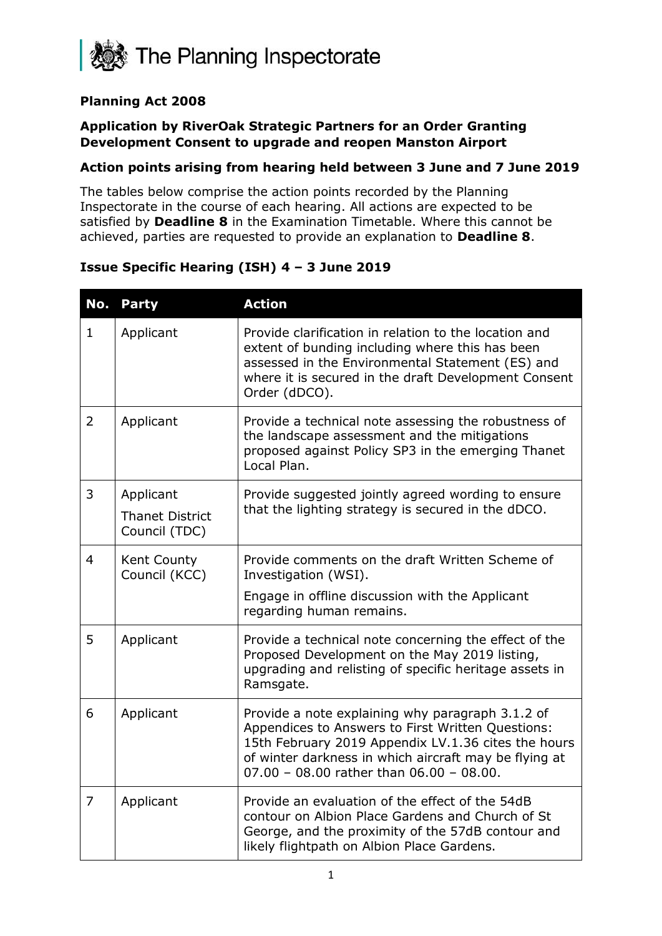

#### **Planning Act 2008**

#### **Application by RiverOak Strategic Partners for an Order Granting Development Consent to upgrade and reopen Manston Airport**

#### **Action points arising from hearing held between 3 June and 7 June 2019**

The tables below comprise the action points recorded by the Planning Inspectorate in the course of each hearing. All actions are expected to be satisfied by **Deadline 8** in the Examination Timetable. Where this cannot be achieved, parties are requested to provide an explanation to **Deadline 8**.

#### **Issue Specific Hearing (ISH) 4 – 3 June 2019**

| No.            | <b>Party</b>                                         | <b>Action</b>                                                                                                                                                                                                                                                          |
|----------------|------------------------------------------------------|------------------------------------------------------------------------------------------------------------------------------------------------------------------------------------------------------------------------------------------------------------------------|
| 1.             | Applicant                                            | Provide clarification in relation to the location and<br>extent of bunding including where this has been<br>assessed in the Environmental Statement (ES) and<br>where it is secured in the draft Development Consent<br>Order (dDCO).                                  |
| $\overline{2}$ | Applicant                                            | Provide a technical note assessing the robustness of<br>the landscape assessment and the mitigations<br>proposed against Policy SP3 in the emerging Thanet<br>Local Plan.                                                                                              |
| 3              | Applicant<br><b>Thanet District</b><br>Council (TDC) | Provide suggested jointly agreed wording to ensure<br>that the lighting strategy is secured in the dDCO.                                                                                                                                                               |
| 4              | Kent County<br>Council (KCC)                         | Provide comments on the draft Written Scheme of<br>Investigation (WSI).<br>Engage in offline discussion with the Applicant<br>regarding human remains.                                                                                                                 |
| 5              | Applicant                                            | Provide a technical note concerning the effect of the<br>Proposed Development on the May 2019 listing,<br>upgrading and relisting of specific heritage assets in<br>Ramsgate.                                                                                          |
| 6              | Applicant                                            | Provide a note explaining why paragraph 3.1.2 of<br>Appendices to Answers to First Written Questions:<br>15th February 2019 Appendix LV.1.36 cites the hours<br>of winter darkness in which aircraft may be flying at<br>$07.00 - 08.00$ rather than $06.00 - 08.00$ . |
| 7              | Applicant                                            | Provide an evaluation of the effect of the 54dB<br>contour on Albion Place Gardens and Church of St<br>George, and the proximity of the 57dB contour and<br>likely flightpath on Albion Place Gardens.                                                                 |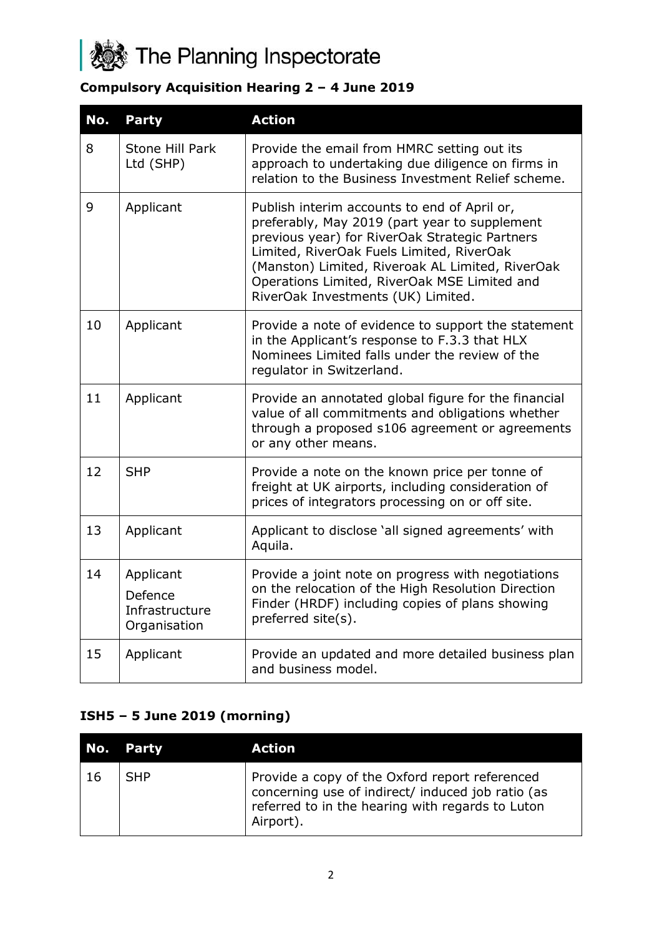

# **Compulsory Acquisition Hearing 2 – 4 June 2019**

| No. | <b>Party</b>                                           | <b>Action</b>                                                                                                                                                                                                                                                                                                                          |
|-----|--------------------------------------------------------|----------------------------------------------------------------------------------------------------------------------------------------------------------------------------------------------------------------------------------------------------------------------------------------------------------------------------------------|
| 8   | Stone Hill Park<br>Ltd (SHP)                           | Provide the email from HMRC setting out its<br>approach to undertaking due diligence on firms in<br>relation to the Business Investment Relief scheme.                                                                                                                                                                                 |
| 9   | Applicant                                              | Publish interim accounts to end of April or,<br>preferably, May 2019 (part year to supplement<br>previous year) for RiverOak Strategic Partners<br>Limited, RiverOak Fuels Limited, RiverOak<br>(Manston) Limited, Riveroak AL Limited, RiverOak<br>Operations Limited, RiverOak MSE Limited and<br>RiverOak Investments (UK) Limited. |
| 10  | Applicant                                              | Provide a note of evidence to support the statement<br>in the Applicant's response to F.3.3 that HLX<br>Nominees Limited falls under the review of the<br>regulator in Switzerland.                                                                                                                                                    |
| 11  | Applicant                                              | Provide an annotated global figure for the financial<br>value of all commitments and obligations whether<br>through a proposed s106 agreement or agreements<br>or any other means.                                                                                                                                                     |
| 12  | <b>SHP</b>                                             | Provide a note on the known price per tonne of<br>freight at UK airports, including consideration of<br>prices of integrators processing on or off site.                                                                                                                                                                               |
| 13  | Applicant                                              | Applicant to disclose 'all signed agreements' with<br>Aquila.                                                                                                                                                                                                                                                                          |
| 14  | Applicant<br>Defence<br>Infrastructure<br>Organisation | Provide a joint note on progress with negotiations<br>on the relocation of the High Resolution Direction<br>Finder (HRDF) including copies of plans showing<br>preferred site(s).                                                                                                                                                      |
| 15  | Applicant                                              | Provide an updated and more detailed business plan<br>and business model.                                                                                                                                                                                                                                                              |

#### **ISH5 – 5 June 2019 (morning)**

|     | No. Party  | Action                                                                                                                                                               |
|-----|------------|----------------------------------------------------------------------------------------------------------------------------------------------------------------------|
| -16 | <b>SHP</b> | Provide a copy of the Oxford report referenced<br>concerning use of indirect/ induced job ratio (as<br>referred to in the hearing with regards to Luton<br>Airport). |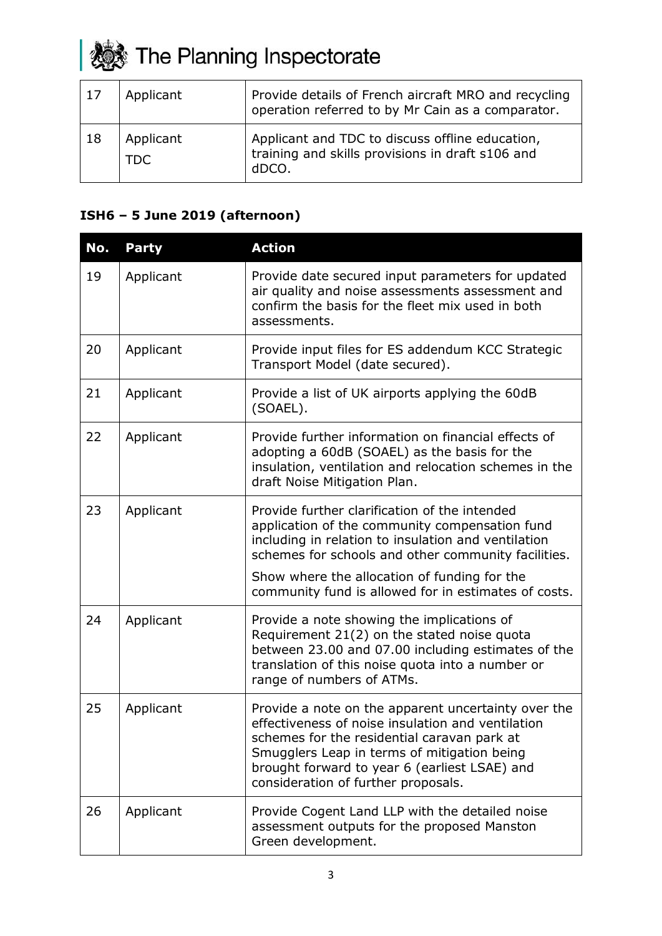# **参** The Planning Inspectorate

| 17 | Applicant        | Provide details of French aircraft MRO and recycling<br>operation referred to by Mr Cain as a comparator.    |
|----|------------------|--------------------------------------------------------------------------------------------------------------|
| 18 | Applicant<br>TDC | Applicant and TDC to discuss offline education,<br>training and skills provisions in draft s106 and<br>dDCO. |

# **ISH6 – 5 June 2019 (afternoon)**

| No. | <b>Party</b> | <b>Action</b>                                                                                                                                                                                                                                                                                                         |
|-----|--------------|-----------------------------------------------------------------------------------------------------------------------------------------------------------------------------------------------------------------------------------------------------------------------------------------------------------------------|
| 19  | Applicant    | Provide date secured input parameters for updated<br>air quality and noise assessments assessment and<br>confirm the basis for the fleet mix used in both<br>assessments.                                                                                                                                             |
| 20  | Applicant    | Provide input files for ES addendum KCC Strategic<br>Transport Model (date secured).                                                                                                                                                                                                                                  |
| 21  | Applicant    | Provide a list of UK airports applying the 60dB<br>(SOAEL).                                                                                                                                                                                                                                                           |
| 22  | Applicant    | Provide further information on financial effects of<br>adopting a 60dB (SOAEL) as the basis for the<br>insulation, ventilation and relocation schemes in the<br>draft Noise Mitigation Plan.                                                                                                                          |
| 23  | Applicant    | Provide further clarification of the intended<br>application of the community compensation fund<br>including in relation to insulation and ventilation<br>schemes for schools and other community facilities.<br>Show where the allocation of funding for the<br>community fund is allowed for in estimates of costs. |
| 24  | Applicant    | Provide a note showing the implications of<br>Requirement 21(2) on the stated noise quota<br>between 23.00 and 07.00 including estimates of the<br>translation of this noise quota into a number or<br>range of numbers of ATMs.                                                                                      |
| 25  | Applicant    | Provide a note on the apparent uncertainty over the<br>effectiveness of noise insulation and ventilation<br>schemes for the residential caravan park at<br>Smugglers Leap in terms of mitigation being<br>brought forward to year 6 (earliest LSAE) and<br>consideration of further proposals.                        |
| 26  | Applicant    | Provide Cogent Land LLP with the detailed noise<br>assessment outputs for the proposed Manston<br>Green development.                                                                                                                                                                                                  |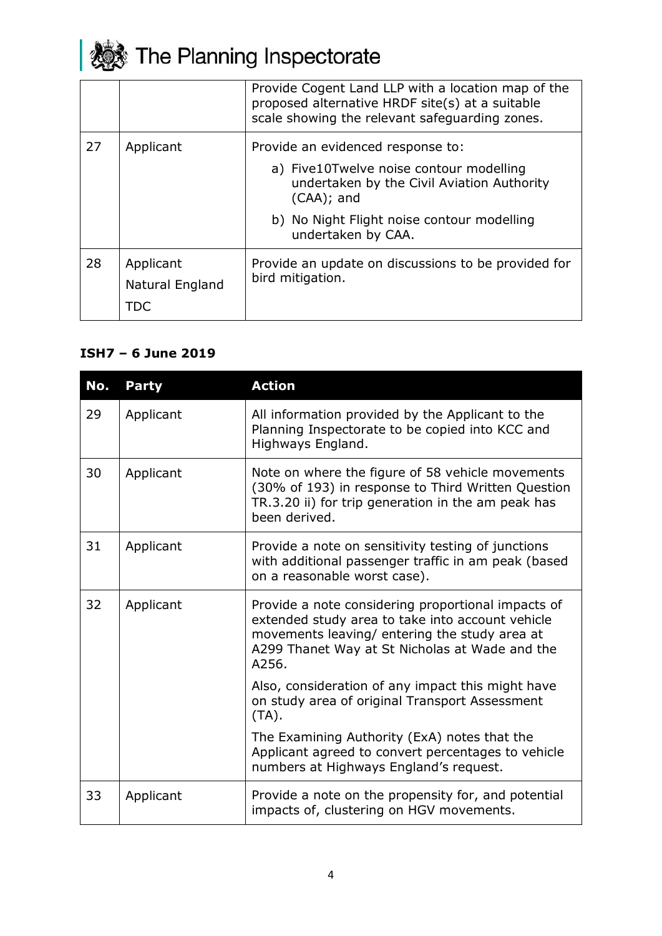

|    |                                     | Provide Cogent Land LLP with a location map of the<br>proposed alternative HRDF site(s) at a suitable<br>scale showing the relevant safeguarding zones. |
|----|-------------------------------------|---------------------------------------------------------------------------------------------------------------------------------------------------------|
| 27 | Applicant                           | Provide an evidenced response to:                                                                                                                       |
|    |                                     | a) Five10Twelve noise contour modelling<br>undertaken by the Civil Aviation Authority<br>$(CAA)$ ; and                                                  |
|    |                                     | b) No Night Flight noise contour modelling<br>undertaken by CAA.                                                                                        |
| 28 | Applicant<br>Natural England<br>TDC | Provide an update on discussions to be provided for<br>bird mitigation.                                                                                 |

### **ISH7 – 6 June 2019**

| No. | <b>Party</b> | <b>Action</b>                                                                                                                                                                                                      |
|-----|--------------|--------------------------------------------------------------------------------------------------------------------------------------------------------------------------------------------------------------------|
| 29  | Applicant    | All information provided by the Applicant to the<br>Planning Inspectorate to be copied into KCC and<br>Highways England.                                                                                           |
| 30  | Applicant    | Note on where the figure of 58 vehicle movements<br>(30% of 193) in response to Third Written Question<br>TR.3.20 ii) for trip generation in the am peak has<br>been derived.                                      |
| 31  | Applicant    | Provide a note on sensitivity testing of junctions<br>with additional passenger traffic in am peak (based<br>on a reasonable worst case).                                                                          |
| 32  | Applicant    | Provide a note considering proportional impacts of<br>extended study area to take into account vehicle<br>movements leaving/ entering the study area at<br>A299 Thanet Way at St Nicholas at Wade and the<br>A256. |
|     |              | Also, consideration of any impact this might have<br>on study area of original Transport Assessment<br>$(TA)$ .                                                                                                    |
|     |              | The Examining Authority (ExA) notes that the<br>Applicant agreed to convert percentages to vehicle<br>numbers at Highways England's request.                                                                       |
| 33  | Applicant    | Provide a note on the propensity for, and potential<br>impacts of, clustering on HGV movements.                                                                                                                    |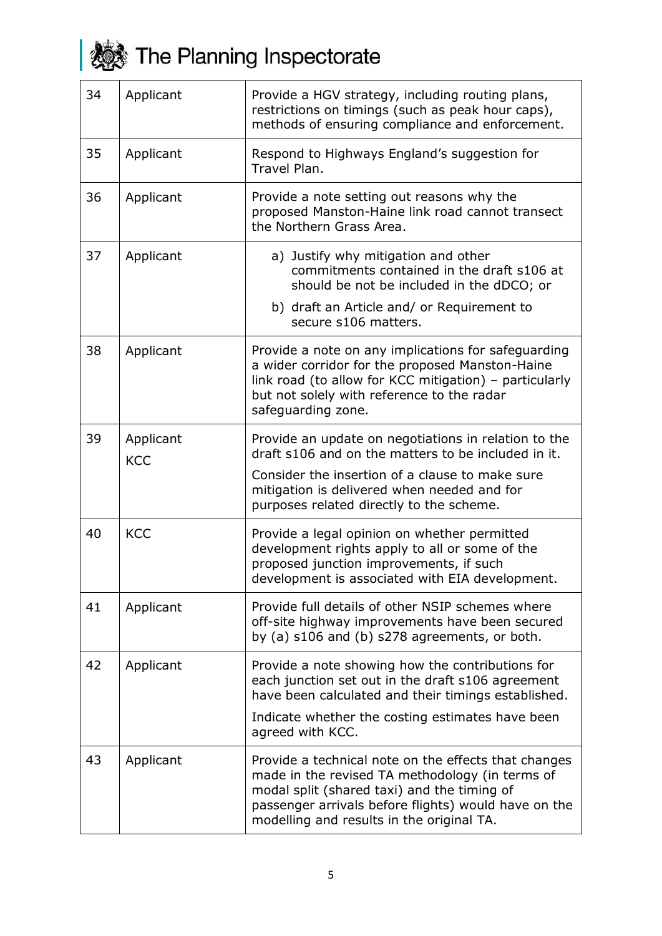

| 34 | Applicant               | Provide a HGV strategy, including routing plans,<br>restrictions on timings (such as peak hour caps),<br>methods of ensuring compliance and enforcement.                                                                                                    |
|----|-------------------------|-------------------------------------------------------------------------------------------------------------------------------------------------------------------------------------------------------------------------------------------------------------|
| 35 | Applicant               | Respond to Highways England's suggestion for<br>Travel Plan.                                                                                                                                                                                                |
| 36 | Applicant               | Provide a note setting out reasons why the<br>proposed Manston-Haine link road cannot transect<br>the Northern Grass Area.                                                                                                                                  |
| 37 | Applicant               | a) Justify why mitigation and other<br>commitments contained in the draft s106 at<br>should be not be included in the dDCO; or                                                                                                                              |
|    |                         | b) draft an Article and/ or Requirement to<br>secure s106 matters.                                                                                                                                                                                          |
| 38 | Applicant               | Provide a note on any implications for safeguarding<br>a wider corridor for the proposed Manston-Haine<br>link road (to allow for KCC mitigation) - particularly<br>but not solely with reference to the radar<br>safeguarding zone.                        |
| 39 | Applicant<br><b>KCC</b> | Provide an update on negotiations in relation to the<br>draft s106 and on the matters to be included in it.                                                                                                                                                 |
|    |                         | Consider the insertion of a clause to make sure<br>mitigation is delivered when needed and for<br>purposes related directly to the scheme.                                                                                                                  |
| 40 | <b>KCC</b>              | Provide a legal opinion on whether permitted<br>development rights apply to all or some of the<br>proposed junction improvements, if such<br>development is associated with EIA development.                                                                |
| 41 | Applicant               | Provide full details of other NSIP schemes where<br>off-site highway improvements have been secured<br>by (a) s106 and (b) s278 agreements, or both.                                                                                                        |
| 42 | Applicant               | Provide a note showing how the contributions for<br>each junction set out in the draft s106 agreement<br>have been calculated and their timings established.<br>Indicate whether the costing estimates have been<br>agreed with KCC.                        |
| 43 | Applicant               | Provide a technical note on the effects that changes<br>made in the revised TA methodology (in terms of<br>modal split (shared taxi) and the timing of<br>passenger arrivals before flights) would have on the<br>modelling and results in the original TA. |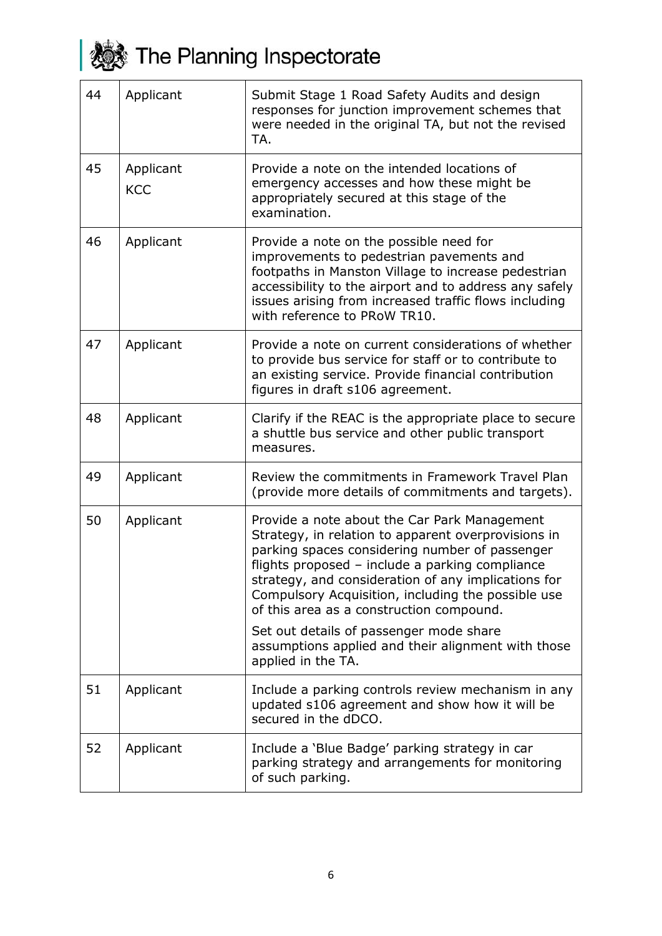

**おき The Planning Inspectorate** 

| 44 | Applicant               | Submit Stage 1 Road Safety Audits and design<br>responses for junction improvement schemes that<br>were needed in the original TA, but not the revised<br>TA.                                                                                                                                                                                                     |
|----|-------------------------|-------------------------------------------------------------------------------------------------------------------------------------------------------------------------------------------------------------------------------------------------------------------------------------------------------------------------------------------------------------------|
| 45 | Applicant<br><b>KCC</b> | Provide a note on the intended locations of<br>emergency accesses and how these might be<br>appropriately secured at this stage of the<br>examination.                                                                                                                                                                                                            |
| 46 | Applicant               | Provide a note on the possible need for<br>improvements to pedestrian pavements and<br>footpaths in Manston Village to increase pedestrian<br>accessibility to the airport and to address any safely<br>issues arising from increased traffic flows including<br>with reference to PRoW TR10.                                                                     |
| 47 | Applicant               | Provide a note on current considerations of whether<br>to provide bus service for staff or to contribute to<br>an existing service. Provide financial contribution<br>figures in draft s106 agreement.                                                                                                                                                            |
| 48 | Applicant               | Clarify if the REAC is the appropriate place to secure<br>a shuttle bus service and other public transport<br>measures.                                                                                                                                                                                                                                           |
| 49 | Applicant               | Review the commitments in Framework Travel Plan<br>(provide more details of commitments and targets).                                                                                                                                                                                                                                                             |
| 50 | Applicant               | Provide a note about the Car Park Management<br>Strategy, in relation to apparent overprovisions in<br>parking spaces considering number of passenger<br>flights proposed - include a parking compliance<br>strategy, and consideration of any implications for<br>Compulsory Acquisition, including the possible use<br>of this area as a construction compound. |
|    |                         | Set out details of passenger mode share<br>assumptions applied and their alignment with those<br>applied in the TA.                                                                                                                                                                                                                                               |
| 51 | Applicant               | Include a parking controls review mechanism in any<br>updated s106 agreement and show how it will be<br>secured in the dDCO.                                                                                                                                                                                                                                      |
| 52 | Applicant               | Include a 'Blue Badge' parking strategy in car<br>parking strategy and arrangements for monitoring<br>of such parking.                                                                                                                                                                                                                                            |